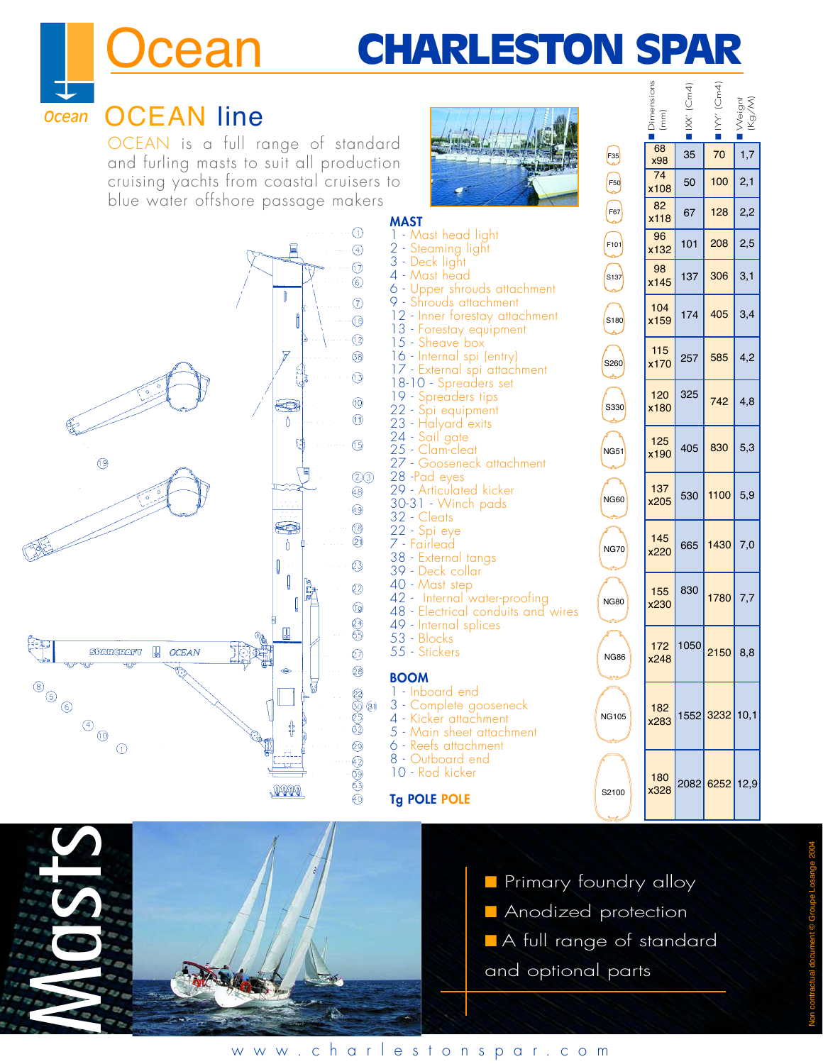# CHARLESTON SPAR

■Dimensions Dimensi<br>(mm)

68

74

82

F35

F50

■ **××**  $\blacksquare$  IXX' (Cm4)

 $(Cm4)$ 

 $\begin{array}{|c|c|c|c|c|} \hline 68 & 35 & 70 & 1,7 \ \hline x98 & & & & \ \hline \end{array}$ 

 $\begin{array}{|c|c|c|c|c|} \hline \end{array}$  50 100 2,1

■ MY' I  $\blacksquare$  IYY' (Cm4)

 $(Cm4)$ 

■■ Weignt Weignt<br>(Kg/M)



# OCEAN line *Ocean*

*cean* 

OCEAN is a full range of standard and furling masts to suit all production cruising yachts from coastal cruisers to blue water offshore passage makers